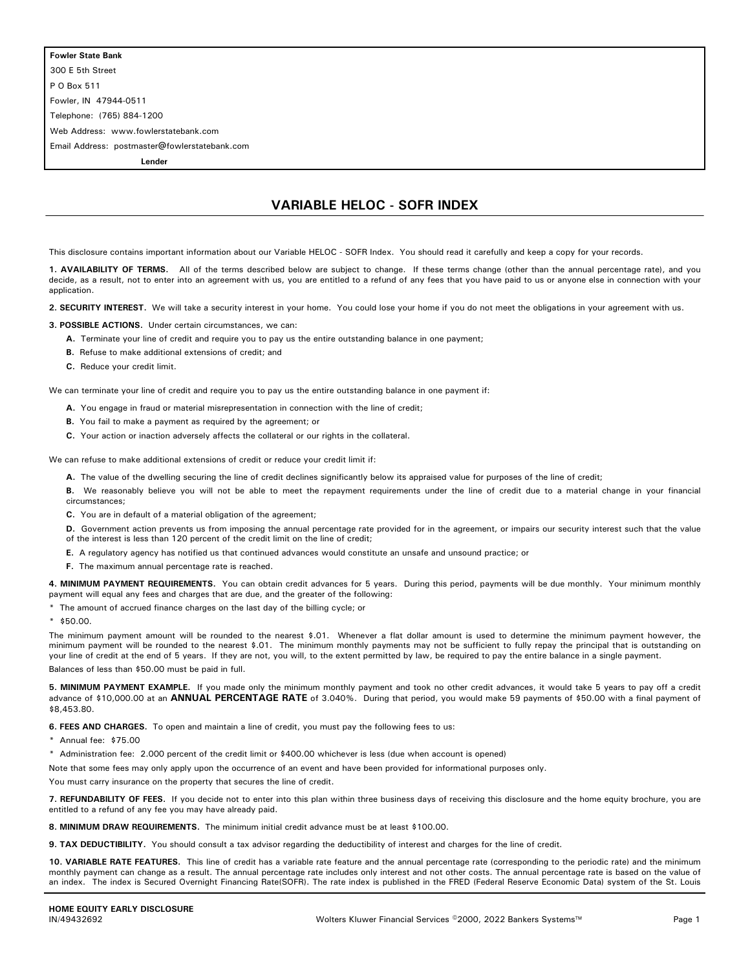300 E 5th Street P O Box 511 Fowler, IN 47944-0511 Telephone: (765) 884-1200 Web Address: www.fowlerstatebank.com Email Address: postmaster@fowlerstatebank.com

**Lender**

## **VARIABLE HELOC - SOFR INDEX**

This disclosure contains important information about our Variable HELOC - SOFR Index. You should read it carefully and keep a copy for your records.

**1. AVAILABILITY OF TERMS.** All of the terms described below are subject to change. If these terms change (other than the annual percentage rate), and you decide, as a result, not to enter into an agreement with us, you are entitled to a refund of any fees that you have paid to us or anyone else in connection with your application.

**2. SECURITY INTEREST.** We will take a security interest in your home. You could lose your home if you do not meet the obligations in your agreement with us.

**3. POSSIBLE ACTIONS.** Under certain circumstances, we can:

- **A.** Terminate your line of credit and require you to pay us the entire outstanding balance in one payment;
- **B.** Refuse to make additional extensions of credit; and
- **C.** Reduce your credit limit.

We can terminate your line of credit and require you to pay us the entire outstanding balance in one payment if:

- **A.** You engage in fraud or material misrepresentation in connection with the line of credit;
- **B.** You fail to make a payment as required by the agreement; or
- **C.** Your action or inaction adversely affects the collateral or our rights in the collateral.

We can refuse to make additional extensions of credit or reduce your credit limit if:

- **A.** The value of the dwelling securing the line of credit declines significantly below its appraised value for purposes of the line of credit;
- **B.** We reasonably believe you will not be able to meet the repayment requirements under the line of credit due to a material change in your financial circumstances;
- **C.** You are in default of a material obligation of the agreement;

**D.** Government action prevents us from imposing the annual percentage rate provided for in the agreement, or impairs our security interest such that the value of the interest is less than 120 percent of the credit limit on the line of credit;

- **E.** A regulatory agency has notified us that continued advances would constitute an unsafe and unsound practice; or
- **F.** The maximum annual percentage rate is reached.

**4. MINIMUM PAYMENT REQUIREMENTS.** You can obtain credit advances for 5 years. During this period, payments will be due monthly. Your minimum monthly payment will equal any fees and charges that are due, and the greater of the following:

\* The amount of accrued finance charges on the last day of the billing cycle; or

\* \$50.00.

The minimum payment amount will be rounded to the nearest \$.01. Whenever a flat dollar amount is used to determine the minimum payment however, the minimum payment will be rounded to the nearest \$.01. The minimum monthly payments may not be sufficient to fully repay the principal that is outstanding on your line of credit at the end of 5 years. If they are not, you will, to the extent permitted by law, be required to pay the entire balance in a single payment. Balances of less than \$50.00 must be paid in full.

**5. MINIMUM PAYMENT EXAMPLE.** If you made only the minimum monthly payment and took no other credit advances, it would take 5 years to pay off a credit advance of \$10,000.00 at an **ANNUAL PERCENTAGE RATE** of 3.040%. During that period, you would make 59 payments of \$50.00 with a final payment of \$8,453.80.

**6. FEES AND CHARGES.** To open and maintain a line of credit, you must pay the following fees to us:

\* Annual fee: \$75.00

\* Administration fee: 2.000 percent of the credit limit or \$400.00 whichever is less (due when account is opened)

Note that some fees may only apply upon the occurrence of an event and have been provided for informational purposes only.

You must carry insurance on the property that secures the line of credit.

**7. REFUNDABILITY OF FEES.** If you decide not to enter into this plan within three business days of receiving this disclosure and the home equity brochure, you are entitled to a refund of any fee you may have already paid.

- **8. MINIMUM DRAW REQUIREMENTS.** The minimum initial credit advance must be at least \$100.00.
- **9. TAX DEDUCTIBILITY.** You should consult a tax advisor regarding the deductibility of interest and charges for the line of credit.

**10. VARIABLE RATE FEATURES.** This line of credit has a variable rate feature and the annual percentage rate (corresponding to the periodic rate) and the minimum monthly payment can change as a result. The annual percentage rate includes only interest and not other costs. The annual percentage rate is based on the value of an index. The index is Secured Overnight Financing Rate(SOFR). The rate index is published in the FRED (Federal Reserve Economic Data) system of the St. Louis